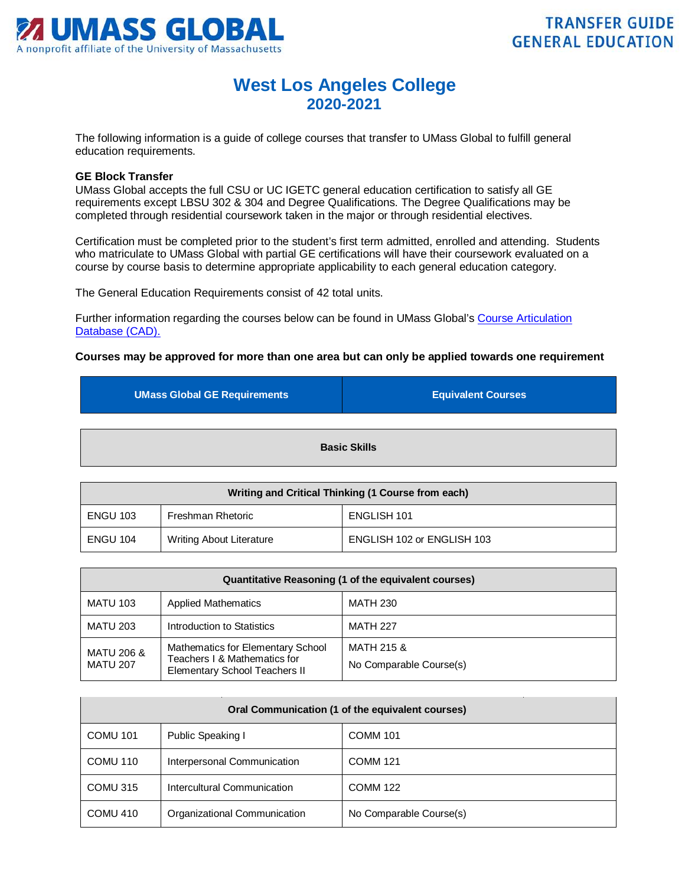

## **West Los Angeles College 2020-2021**

The following information is a guide of college courses that transfer to UMass Global to fulfill general education requirements.

## **GE Block Transfer**

UMass Global accepts the full CSU or UC IGETC general education certification to satisfy all GE requirements except LBSU 302 & 304 and Degree Qualifications. The Degree Qualifications may be completed through residential coursework taken in the major or through residential electives.

Certification must be completed prior to the student's first term admitted, enrolled and attending. Students who matriculate to UMass Global with partial GE certifications will have their coursework evaluated on a course by course basis to determine appropriate applicability to each general education category.

The General Education Requirements consist of 42 total units.

Further information regarding the courses below can be found in UMass Global's [Course Articulation](http://services.umassglobal.edu/studentservices/TransferCredit/)  Database (CAD).

## **Courses may be approved for more than one area but can only be applied towards one requirement**

| <b>UMass Global GE Requirements</b> | <b>Equivalent Courses</b> |
|-------------------------------------|---------------------------|
|                                     | <b>Basic Skills</b>       |

| Writing and Critical Thinking (1 Course from each) |                          |                            |
|----------------------------------------------------|--------------------------|----------------------------|
| <b>ENGU 103</b>                                    | Freshman Rhetoric        | ENGLISH 101                |
| ENGU 104                                           | Writing About Literature | ENGLISH 102 or ENGLISH 103 |

| Quantitative Reasoning (1 of the equivalent courses) |                                                                                                    |                                       |
|------------------------------------------------------|----------------------------------------------------------------------------------------------------|---------------------------------------|
| <b>MATU 103</b>                                      | <b>Applied Mathematics</b>                                                                         | <b>MATH 230</b>                       |
| <b>MATU 203</b>                                      | Introduction to Statistics                                                                         | <b>MATH 227</b>                       |
| <b>MATU 206 &amp;</b><br><b>MATU 207</b>             | Mathematics for Elementary School<br>Teachers I & Mathematics for<br>Elementary School Teachers II | MATH 215 &<br>No Comparable Course(s) |

| Oral Communication (1 of the equivalent courses) |                              |                         |
|--------------------------------------------------|------------------------------|-------------------------|
| <b>COMU 101</b>                                  | Public Speaking I            | <b>COMM 101</b>         |
| COMU 110                                         | Interpersonal Communication  | <b>COMM 121</b>         |
| COMU 315                                         | Intercultural Communication  | <b>COMM 122</b>         |
| COMU 410                                         | Organizational Communication | No Comparable Course(s) |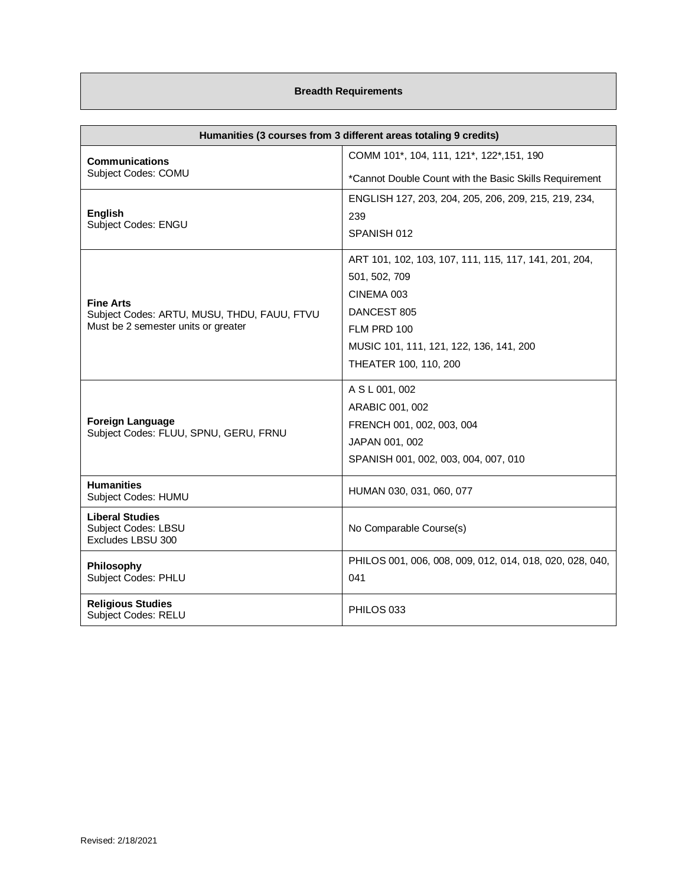## **Breadth Requirements**

| Humanities (3 courses from 3 different areas totaling 9 credits)   |                                                                 |
|--------------------------------------------------------------------|-----------------------------------------------------------------|
| <b>Communications</b>                                              | COMM 101*, 104, 111, 121*, 122*, 151, 190                       |
| Subject Codes: COMU                                                | *Cannot Double Count with the Basic Skills Requirement          |
|                                                                    | ENGLISH 127, 203, 204, 205, 206, 209, 215, 219, 234,            |
| <b>English</b><br>Subject Codes: ENGU                              | 239                                                             |
|                                                                    | SPANISH 012                                                     |
|                                                                    | ART 101, 102, 103, 107, 111, 115, 117, 141, 201, 204,           |
|                                                                    | 501, 502, 709                                                   |
| <b>Fine Arts</b>                                                   | CINEMA 003                                                      |
| Subject Codes: ARTU, MUSU, THDU, FAUU, FTVU                        | DANCEST 805                                                     |
| Must be 2 semester units or greater                                | FLM PRD 100                                                     |
|                                                                    | MUSIC 101, 111, 121, 122, 136, 141, 200                         |
|                                                                    | THEATER 100, 110, 200                                           |
|                                                                    | A S L 001, 002                                                  |
|                                                                    | ARABIC 001, 002                                                 |
| <b>Foreign Language</b><br>Subject Codes: FLUU, SPNU, GERU, FRNU   | FRENCH 001, 002, 003, 004                                       |
|                                                                    | JAPAN 001, 002                                                  |
|                                                                    | SPANISH 001, 002, 003, 004, 007, 010                            |
| <b>Humanities</b><br>Subject Codes: HUMU                           | HUMAN 030, 031, 060, 077                                        |
| <b>Liberal Studies</b><br>Subject Codes: LBSU<br>Excludes LBSU 300 | No Comparable Course(s)                                         |
| Philosophy<br><b>Subject Codes: PHLU</b>                           | PHILOS 001, 006, 008, 009, 012, 014, 018, 020, 028, 040,<br>041 |
| <b>Religious Studies</b><br><b>Subject Codes: RELU</b>             | PHILOS 033                                                      |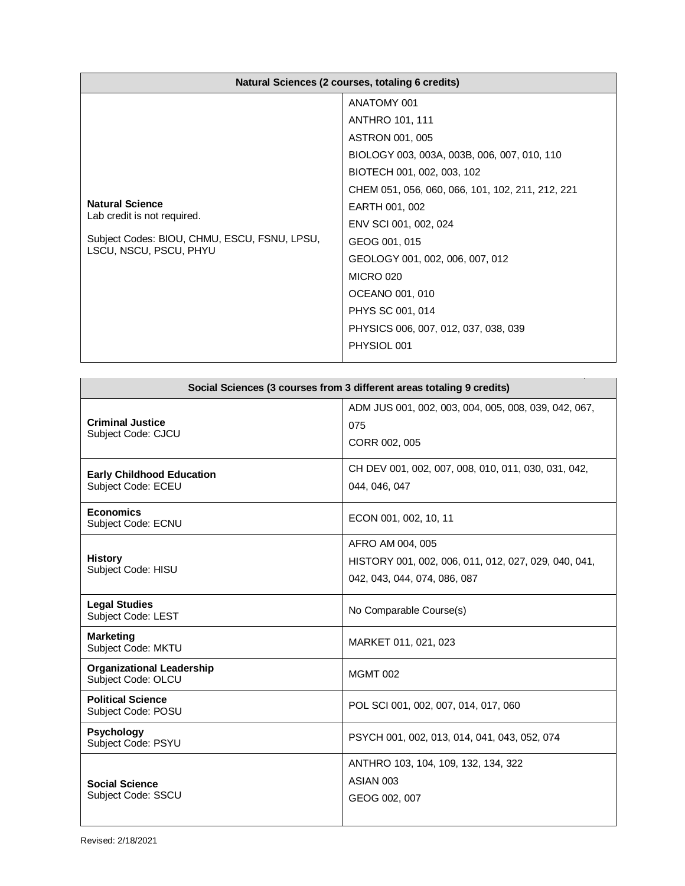| Natural Sciences (2 courses, totaling 6 credits)                                                                                |                                                                                                                                                                                                                                                                                                                                                                                                            |
|---------------------------------------------------------------------------------------------------------------------------------|------------------------------------------------------------------------------------------------------------------------------------------------------------------------------------------------------------------------------------------------------------------------------------------------------------------------------------------------------------------------------------------------------------|
| <b>Natural Science</b><br>Lab credit is not required.<br>Subject Codes: BIOU, CHMU, ESCU, FSNU, LPSU,<br>LSCU, NSCU, PSCU, PHYU | ANATOMY 001<br><b>ANTHRO 101, 111</b><br>ASTRON 001, 005<br>BIOLOGY 003, 003A, 003B, 006, 007, 010, 110<br>BIOTECH 001, 002, 003, 102<br>CHEM 051, 056, 060, 066, 101, 102, 211, 212, 221<br>EARTH 001, 002<br>ENV SCI 001, 002, 024<br>GEOG 001, 015<br>GEOLOGY 001, 002, 006, 007, 012<br><b>MICRO 020</b><br>OCEANO 001, 010<br>PHYS SC 001, 014<br>PHYSICS 006, 007, 012, 037, 038, 039<br>PHYSIOL 001 |

| Social Sciences (3 courses from 3 different areas totaling 9 credits) |                                                                                                          |
|-----------------------------------------------------------------------|----------------------------------------------------------------------------------------------------------|
| <b>Criminal Justice</b><br>Subject Code: CJCU                         | ADM JUS 001, 002, 003, 004, 005, 008, 039, 042, 067,<br>075<br>CORR 002, 005                             |
| <b>Early Childhood Education</b><br>Subject Code: ECEU                | CH DEV 001, 002, 007, 008, 010, 011, 030, 031, 042,<br>044, 046, 047                                     |
| <b>Economics</b><br>Subject Code: ECNU                                | ECON 001, 002, 10, 11                                                                                    |
| <b>History</b><br>Subject Code: HISU                                  | AFRO AM 004, 005<br>HISTORY 001, 002, 006, 011, 012, 027, 029, 040, 041,<br>042, 043, 044, 074, 086, 087 |
| <b>Legal Studies</b><br>Subject Code: LEST                            | No Comparable Course(s)                                                                                  |
| <b>Marketing</b><br>Subject Code: MKTU                                | MARKET 011, 021, 023                                                                                     |
| <b>Organizational Leadership</b><br>Subject Code: OLCU                | <b>MGMT 002</b>                                                                                          |
| <b>Political Science</b><br>Subject Code: POSU                        | POL SCI 001, 002, 007, 014, 017, 060                                                                     |
| <b>Psychology</b><br>Subject Code: PSYU                               | PSYCH 001, 002, 013, 014, 041, 043, 052, 074                                                             |
| <b>Social Science</b><br>Subject Code: SSCU                           | ANTHRO 103, 104, 109, 132, 134, 322<br>ASIAN 003<br>GEOG 002, 007                                        |